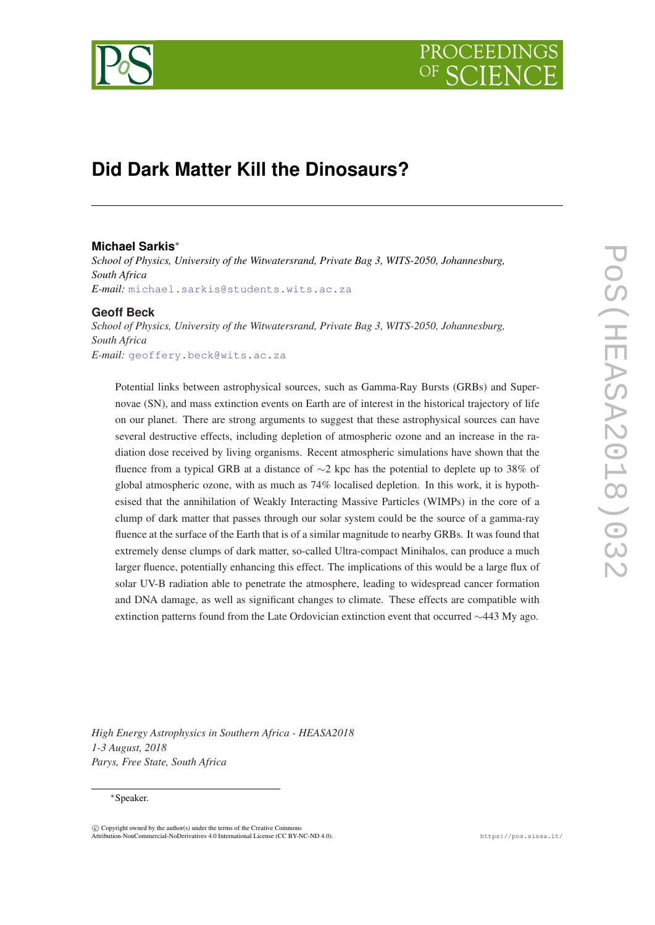

# **Did Dark Matter Kill the Dinosaurs?**

# **Michael Sarkis**<sup>∗</sup>

*School of Physics, University of the Witwatersrand, Private Bag 3, WITS-2050, Johannesburg, South Africa E-mail:* [michael.sarkis@students.wits.ac.za](mailto:michael.sarkis@students.wits.ac.za)

# **Geoff Beck**

*School of Physics, University of the Witwatersrand, Private Bag 3, WITS-2050, Johannesburg, South Africa E-mail:* [geoffery.beck@wits.ac.za](mailto:geoffery.beck@wits.ac.za)

Potential links between astrophysical sources, such as Gamma-Ray Bursts (GRBs) and Supernovae (SN), and mass extinction events on Earth are of interest in the historical trajectory of life on our planet. There are strong arguments to suggest that these astrophysical sources can have several destructive effects, including depletion of atmospheric ozone and an increase in the radiation dose received by living organisms. Recent atmospheric simulations have shown that the fluence from a typical GRB at a distance of ∼2 kpc has the potential to deplete up to 38% of global atmospheric ozone, with as much as 74% localised depletion. In this work, it is hypothesised that the annihilation of Weakly Interacting Massive Particles (WIMPs) in the core of a clump of dark matter that passes through our solar system could be the source of a gamma-ray fluence at the surface of the Earth that is of a similar magnitude to nearby GRBs. It was found that extremely dense clumps of dark matter, so-called Ultra-compact Minihalos, can produce a much larger fluence, potentially enhancing this effect. The implications of this would be a large flux of solar UV-B radiation able to penetrate the atmosphere, leading to widespread cancer formation and DNA damage, as well as significant changes to climate. These effects are compatible with extinction patterns found from the Late Ordovician extinction event that occurred ∼443 My ago.

*High Energy Astrophysics in Southern Africa - HEASA2018 1-3 August, 2018 Parys, Free State, South Africa*

#### <sup>∗</sup>Speaker.

 $\overline{c}$  Copyright owned by the author(s) under the terms of the Creative Common Attribution-NonCommercial-NoDerivatives 4.0 International License (CC BY-NC-ND 4.0). https://pos.sissa.it/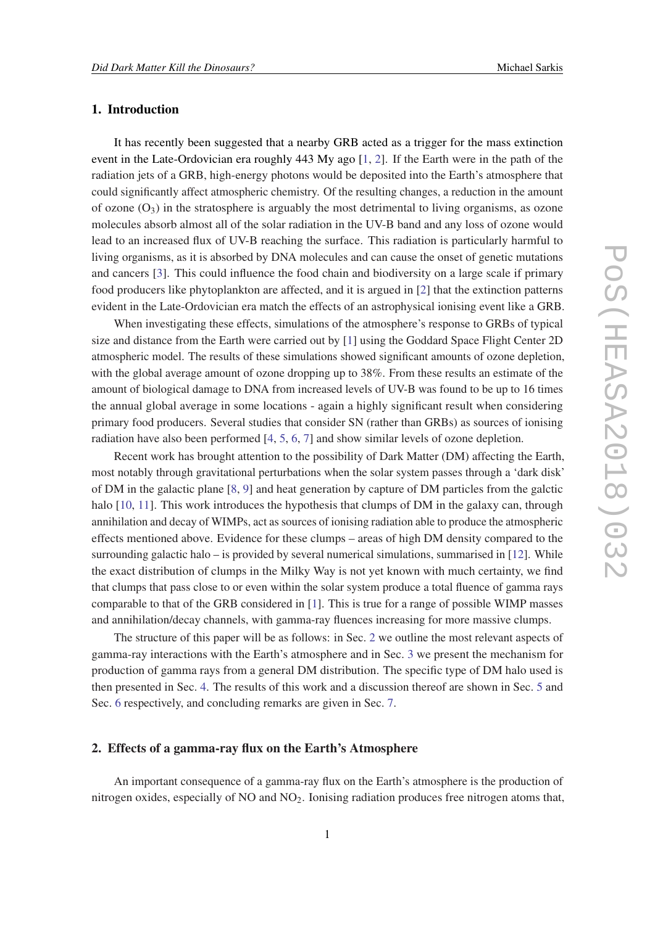# 1. Introduction

It has recently been suggested that a nearby GRB acted as a trigger for the mass extinction event in the Late-Ordovician era roughly 443 My ago [[1](#page-5-0), [2](#page-5-0)]. If the Earth were in the path of the radiation jets of a GRB, high-energy photons would be deposited into the Earth's atmosphere that could significantly affect atmospheric chemistry. Of the resulting changes, a reduction in the amount of ozone  $(O_3)$  in the stratosphere is arguably the most detrimental to living organisms, as ozone molecules absorb almost all of the solar radiation in the UV-B band and any loss of ozone would lead to an increased flux of UV-B reaching the surface. This radiation is particularly harmful to living organisms, as it is absorbed by DNA molecules and can cause the onset of genetic mutations and cancers [\[3\]](#page-5-0). This could influence the food chain and biodiversity on a large scale if primary food producers like phytoplankton are affected, and it is argued in [\[2\]](#page-5-0) that the extinction patterns evident in the Late-Ordovician era match the effects of an astrophysical ionising event like a GRB.

When investigating these effects, simulations of the atmosphere's response to GRBs of typical size and distance from the Earth were carried out by [[1\]](#page-5-0) using the Goddard Space Flight Center 2D atmospheric model. The results of these simulations showed significant amounts of ozone depletion, with the global average amount of ozone dropping up to 38%. From these results an estimate of the amount of biological damage to DNA from increased levels of UV-B was found to be up to 16 times the annual global average in some locations - again a highly significant result when considering primary food producers. Several studies that consider SN (rather than GRBs) as sources of ionising radiation have also been performed [\[4,](#page-5-0) [5,](#page-5-0) [6](#page-5-0), [7](#page-5-0)] and show similar levels of ozone depletion.

Recent work has brought attention to the possibility of Dark Matter (DM) affecting the Earth, most notably through gravitational perturbations when the solar system passes through a 'dark disk' of DM in the galactic plane [\[8,](#page-6-0) [9](#page-6-0)] and heat generation by capture of DM particles from the galctic halo [[10,](#page-6-0) [11](#page-6-0)]. This work introduces the hypothesis that clumps of DM in the galaxy can, through annihilation and decay of WIMPs, act as sources of ionising radiation able to produce the atmospheric effects mentioned above. Evidence for these clumps – areas of high DM density compared to the surrounding galactic halo – is provided by several numerical simulations, summarised in [\[12](#page-6-0)]. While the exact distribution of clumps in the Milky Way is not yet known with much certainty, we find that clumps that pass close to or even within the solar system produce a total fluence of gamma rays comparable to that of the GRB considered in [\[1\]](#page-5-0). This is true for a range of possible WIMP masses and annihilation/decay channels, with gamma-ray fluences increasing for more massive clumps.

The structure of this paper will be as follows: in Sec. 2 we outline the most relevant aspects of gamma-ray interactions with the Earth's atmosphere and in Sec. [3](#page-2-0) we present the mechanism for production of gamma rays from a general DM distribution. The specific type of DM halo used is then presented in Sec. [4.](#page-3-0) The results of this work and a discussion thereof are shown in Sec. [5](#page-3-0) and Sec. [6](#page-4-0) respectively, and concluding remarks are given in Sec. [7.](#page-5-0)

#### 2. Effects of a gamma-ray flux on the Earth's Atmosphere

An important consequence of a gamma-ray flux on the Earth's atmosphere is the production of nitrogen oxides, especially of  $NO$  and  $NO<sub>2</sub>$ . Ionising radiation produces free nitrogen atoms that,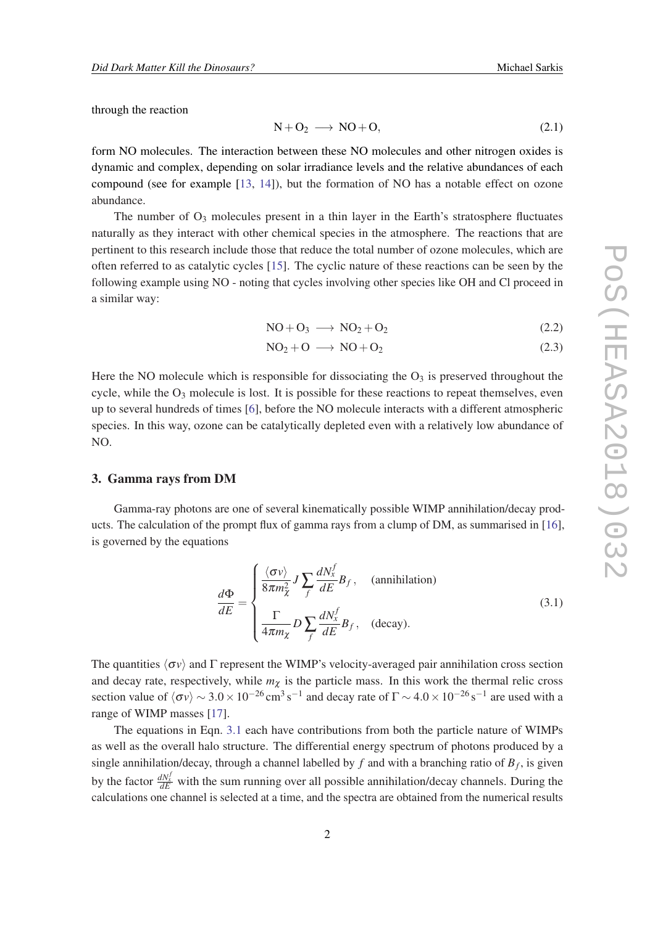<span id="page-2-0"></span>through the reaction

$$
N + O_2 \longrightarrow NO + O, \tag{2.1}
$$

form NO molecules. The interaction between these NO molecules and other nitrogen oxides is dynamic and complex, depending on solar irradiance levels and the relative abundances of each compound (see for example [\[13,](#page-6-0) [14\]](#page-6-0)), but the formation of NO has a notable effect on ozone abundance.

The number of  $O_3$  molecules present in a thin layer in the Earth's stratosphere fluctuates naturally as they interact with other chemical species in the atmosphere. The reactions that are pertinent to this research include those that reduce the total number of ozone molecules, which are often referred to as catalytic cycles [\[15](#page-6-0)]. The cyclic nature of these reactions can be seen by the following example using NO - noting that cycles involving other species like OH and Cl proceed in a similar way:

$$
NO + O_3 \longrightarrow NO_2 + O_2 \tag{2.2}
$$

$$
NO2 + O \longrightarrow NO + O2
$$
 (2.3)

Here the NO molecule which is responsible for dissociating the  $O<sub>3</sub>$  is preserved throughout the cycle, while the  $O_3$  molecule is lost. It is possible for these reactions to repeat themselves, even up to several hundreds of times [\[6\]](#page-5-0), before the NO molecule interacts with a different atmospheric species. In this way, ozone can be catalytically depleted even with a relatively low abundance of NO.

#### 3. Gamma rays from DM

Gamma-ray photons are one of several kinematically possible WIMP annihilation/decay products. The calculation of the prompt flux of gamma rays from a clump of DM, as summarised in [\[16](#page-6-0)], is governed by the equations

$$
\frac{d\Phi}{dE} = \begin{cases}\n\frac{\langle \sigma v \rangle}{8\pi m_{\chi}^2} J \sum_{f} \frac{dN_{x}^{f}}{dE} B_{f}, & \text{(annihilation)} \\
\frac{\Gamma}{4\pi m_{\chi}} D \sum_{f} \frac{dN_{x}^{f}}{dE} B_{f}, & \text{(decay)}.\n\end{cases}
$$
\n(3.1)

The quantities  $\langle \sigma v \rangle$  and Γ represent the WIMP's velocity-averaged pair annihilation cross section and decay rate, respectively, while  $m<sub>\gamma</sub>$  is the particle mass. In this work the thermal relic cross section value of  $\langle \sigma v \rangle \sim 3.0 \times 10^{-26}$  cm<sup>3</sup>s<sup>-1</sup> and decay rate of  $\Gamma$  ∼ 4.0 × 10<sup>-26</sup> s<sup>-1</sup> are used with a range of WIMP masses [[17\]](#page-6-0).

The equations in Eqn. 3.1 each have contributions from both the particle nature of WIMPs as well as the overall halo structure. The differential energy spectrum of photons produced by a single annihilation/decay, through a channel labelled by  $f$  and with a branching ratio of  $B_f$ , is given by the factor  $\frac{dN_x^f}{dE}$  with the sum running over all possible annihilation/decay channels. During the calculations one channel is selected at a time, and the spectra are obtained from the numerical results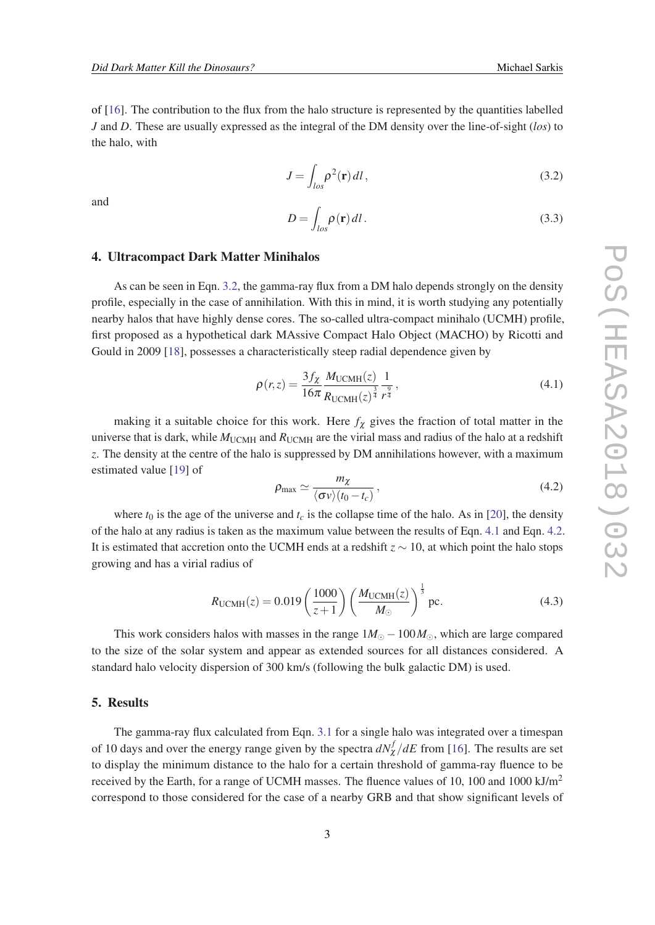<span id="page-3-0"></span>of [[16\]](#page-6-0). The contribution to the flux from the halo structure is represented by the quantities labelled *J* and *D*. These are usually expressed as the integral of the DM density over the line-of-sight (*los*) to the halo, with

$$
J = \int_{\log} \rho^2(\mathbf{r}) dl,
$$
\n(3.2)

and

$$
D = \int_{\log} \rho(\mathbf{r}) dl. \tag{3.3}
$$

#### 4. Ultracompact Dark Matter Minihalos

As can be seen in Eqn. 3.2, the gamma-ray flux from a DM halo depends strongly on the density profile, especially in the case of annihilation. With this in mind, it is worth studying any potentially nearby halos that have highly dense cores. The so-called ultra-compact minihalo (UCMH) profile, first proposed as a hypothetical dark MAssive Compact Halo Object (MACHO) by Ricotti and Gould in 2009 [[18\]](#page-6-0), possesses a characteristically steep radial dependence given by

$$
\rho(r,z) = \frac{3f_{\chi}}{16\pi} \frac{M_{\text{UCMH}}(z)}{R_{\text{UCMH}}(z)^{\frac{3}{4}}} \frac{1}{r^{\frac{9}{4}}},\tag{4.1}
$$

making it a suitable choice for this work. Here  $f_{\chi}$  gives the fraction of total matter in the universe that is dark, while  $M_{\text{UCMH}}$  and  $R_{\text{UCMH}}$  are the virial mass and radius of the halo at a redshift *z*. The density at the centre of the halo is suppressed by DM annihilations however, with a maximum estimated value [[19\]](#page-6-0) of

$$
\rho_{\text{max}} \simeq \frac{m_{\chi}}{\langle \sigma v \rangle (t_0 - t_c)},\tag{4.2}
$$

where  $t_0$  is the age of the universe and  $t_c$  is the collapse time of the halo. As in [[20\]](#page-6-0), the density of the halo at any radius is taken as the maximum value between the results of Eqn. 4.1 and Eqn. 4.2. It is estimated that accretion onto the UCMH ends at a redshift *z* ∼ 10, at which point the halo stops growing and has a virial radius of

$$
R_{\text{UCMH}}(z) = 0.019 \left(\frac{1000}{z+1}\right) \left(\frac{M_{\text{UCMH}}(z)}{M_{\odot}}\right)^{\frac{1}{3}} \text{pc.}
$$
 (4.3)

This work considers halos with masses in the range  $1M_{\odot} - 100M_{\odot}$ , which are large compared to the size of the solar system and appear as extended sources for all distances considered. A standard halo velocity dispersion of 300 km/s (following the bulk galactic DM) is used.

### 5. Results

The gamma-ray flux calculated from Eqn. [3.1](#page-2-0) for a single halo was integrated over a timespan of 10 days and over the energy range given by the spectra  $dN_{\chi}^{f}/dE$  from [\[16](#page-6-0)]. The results are set to display the minimum distance to the halo for a certain threshold of gamma-ray fluence to be received by the Earth, for a range of UCMH masses. The fluence values of 10, 100 and 1000 kJ/m<sup>2</sup> correspond to those considered for the case of a nearby GRB and that show significant levels of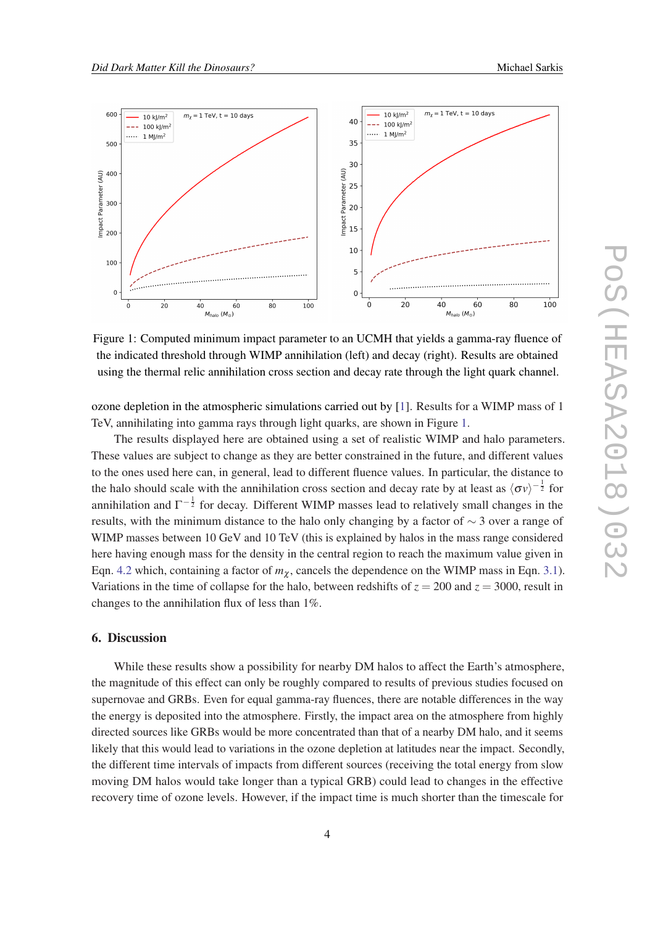<span id="page-4-0"></span>

Figure 1: Computed minimum impact parameter to an UCMH that yields a gamma-ray fluence of the indicated threshold through WIMP annihilation (left) and decay (right). Results are obtained using the thermal relic annihilation cross section and decay rate through the light quark channel.

ozone depletion in the atmospheric simulations carried out by [\[1\]](#page-5-0). Results for a WIMP mass of 1 TeV, annihilating into gamma rays through light quarks, are shown in Figure 1.

The results displayed here are obtained using a set of realistic WIMP and halo parameters. These values are subject to change as they are better constrained in the future, and different values to the ones used here can, in general, lead to different fluence values. In particular, the distance to the halo should scale with the annihilation cross section and decay rate by at least as  $\langle \sigma v \rangle^{-\frac{1}{2}}$  for annihilation and  $\Gamma^{-\frac{1}{2}}$  for decay. Different WIMP masses lead to relatively small changes in the results, with the minimum distance to the halo only changing by a factor of ∼ 3 over a range of WIMP masses between 10 GeV and 10 TeV (this is explained by halos in the mass range considered here having enough mass for the density in the central region to reach the maximum value given in Eqn. [4.2](#page-3-0) which, containing a factor of  $m<sub>\chi</sub>$ , cancels the dependence on the WIMP mass in Eqn. [3.1\)](#page-2-0). Variations in the time of collapse for the halo, between redshifts of  $z = 200$  and  $z = 3000$ , result in changes to the annihilation flux of less than 1%.

### 6. Discussion

While these results show a possibility for nearby DM halos to affect the Earth's atmosphere, the magnitude of this effect can only be roughly compared to results of previous studies focused on supernovae and GRBs. Even for equal gamma-ray fluences, there are notable differences in the way the energy is deposited into the atmosphere. Firstly, the impact area on the atmosphere from highly directed sources like GRBs would be more concentrated than that of a nearby DM halo, and it seems likely that this would lead to variations in the ozone depletion at latitudes near the impact. Secondly, the different time intervals of impacts from different sources (receiving the total energy from slow moving DM halos would take longer than a typical GRB) could lead to changes in the effective recovery time of ozone levels. However, if the impact time is much shorter than the timescale for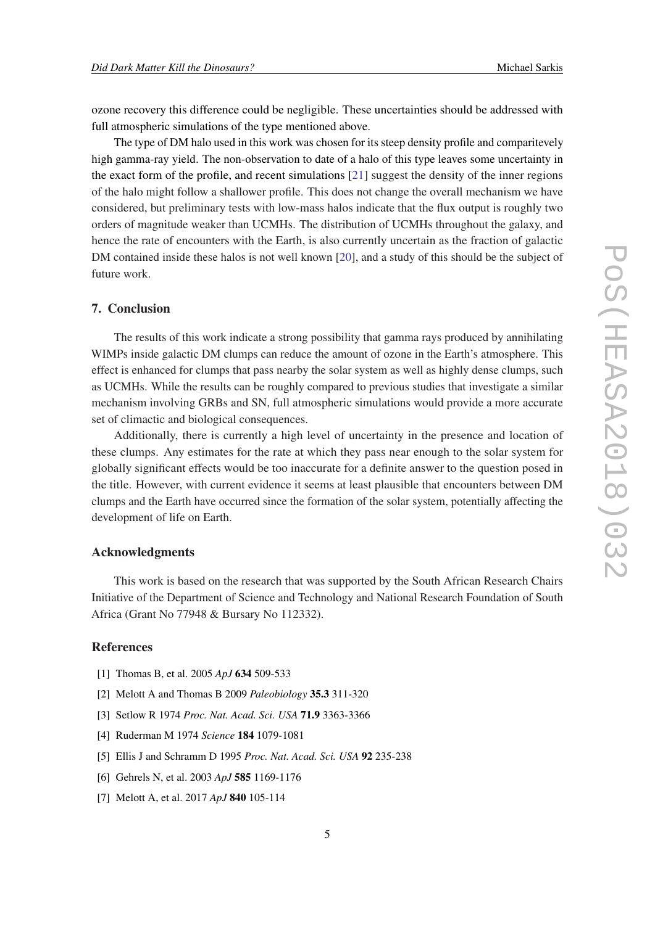<span id="page-5-0"></span>ozone recovery this difference could be negligible. These uncertainties should be addressed with full atmospheric simulations of the type mentioned above.

The type of DM halo used in this work was chosen for its steep density profile and comparitevely high gamma-ray yield. The non-observation to date of a halo of this type leaves some uncertainty in the exact form of the profile, and recent simulations [\[21](#page-6-0)] suggest the density of the inner regions of the halo might follow a shallower profile. This does not change the overall mechanism we have considered, but preliminary tests with low-mass halos indicate that the flux output is roughly two orders of magnitude weaker than UCMHs. The distribution of UCMHs throughout the galaxy, and hence the rate of encounters with the Earth, is also currently uncertain as the fraction of galactic DM contained inside these halos is not well known [[20\]](#page-6-0), and a study of this should be the subject of future work.

# 7. Conclusion

The results of this work indicate a strong possibility that gamma rays produced by annihilating WIMPs inside galactic DM clumps can reduce the amount of ozone in the Earth's atmosphere. This effect is enhanced for clumps that pass nearby the solar system as well as highly dense clumps, such as UCMHs. While the results can be roughly compared to previous studies that investigate a similar mechanism involving GRBs and SN, full atmospheric simulations would provide a more accurate set of climactic and biological consequences.

Additionally, there is currently a high level of uncertainty in the presence and location of these clumps. Any estimates for the rate at which they pass near enough to the solar system for globally significant effects would be too inaccurate for a definite answer to the question posed in the title. However, with current evidence it seems at least plausible that encounters between DM clumps and the Earth have occurred since the formation of the solar system, potentially affecting the development of life on Earth.

#### Acknowledgments

This work is based on the research that was supported by the South African Research Chairs Initiative of the Department of Science and Technology and National Research Foundation of South Africa (Grant No 77948 & Bursary No 112332).

# References

- [1] Thomas B, et al. 2005 *ApJ* 634 509-533
- [2] Melott A and Thomas B 2009 *Paleobiology* 35.3 311-320
- [3] Setlow R 1974 *Proc. Nat. Acad. Sci. USA* 71.9 3363-3366
- [4] Ruderman M 1974 *Science* 184 1079-1081
- [5] Ellis J and Schramm D 1995 *Proc. Nat. Acad. Sci. USA* 92 235-238
- [6] Gehrels N, et al. 2003 *ApJ* 585 1169-1176
- [7] Melott A, et al. 2017 *ApJ* 840 105-114